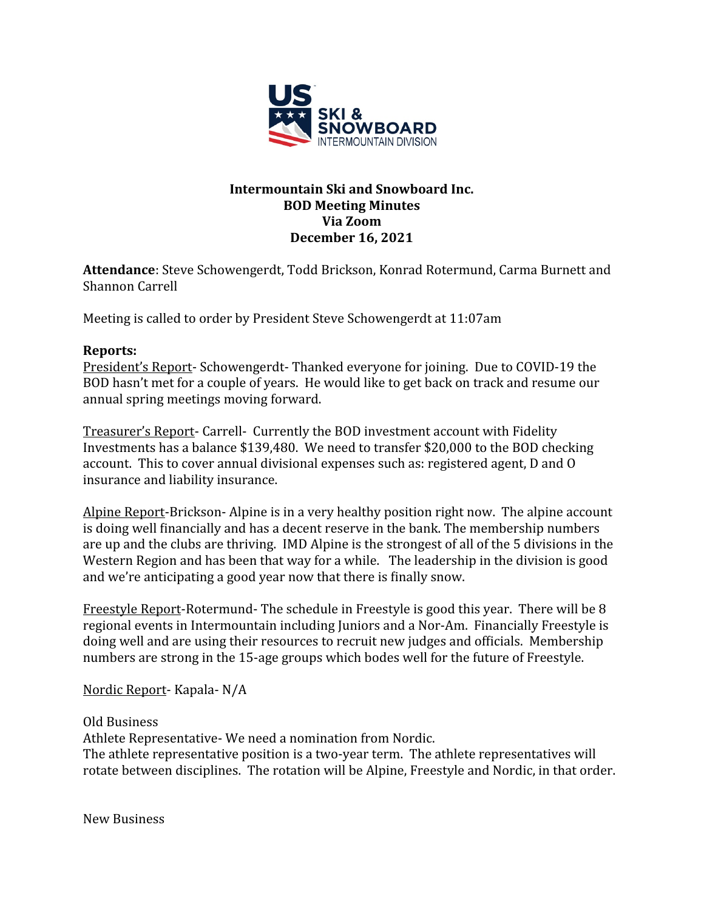

# **Intermountain Ski and Snowboard Inc. BOD Meeting Minutes Via Zoom December 16, 2021**

**Attendance**: Steve Schowengerdt, Todd Brickson, Konrad Rotermund, Carma Burnett and Shannon Carrell

Meeting is called to order by President Steve Schowengerdt at 11:07am

# **Reports:**

President's Report- Schowengerdt- Thanked everyone for joining. Due to COVID-19 the BOD hasn't met for a couple of years. He would like to get back on track and resume our annual spring meetings moving forward.

Treasurer's Report- Carrell- Currently the BOD investment account with Fidelity Investments has a balance \$139,480. We need to transfer \$20,000 to the BOD checking account. This to cover annual divisional expenses such as: registered agent, D and O insurance and liability insurance.

Alpine Report-Brickson- Alpine is in a very healthy position right now. The alpine account is doing well financially and has a decent reserve in the bank. The membership numbers are up and the clubs are thriving. IMD Alpine is the strongest of all of the 5 divisions in the Western Region and has been that way for a while. The leadership in the division is good and we're anticipating a good year now that there is finally snow.

Freestyle Report-Rotermund- The schedule in Freestyle is good this year. There will be 8 regional events in Intermountain including Juniors and a Nor-Am. Financially Freestyle is doing well and are using their resources to recruit new judges and officials. Membership numbers are strong in the 15-age groups which bodes well for the future of Freestyle.

Nordic Report- Kapala- N/A

Old Business

Athlete Representative- We need a nomination from Nordic.

The athlete representative position is a two-year term. The athlete representatives will rotate between disciplines. The rotation will be Alpine, Freestyle and Nordic, in that order.

New Business